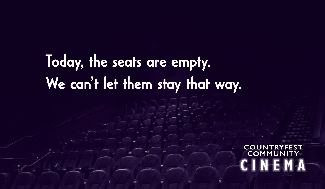## Today, the seats are empty. We can't let them stay that way.

COUNT **COMMUNITY**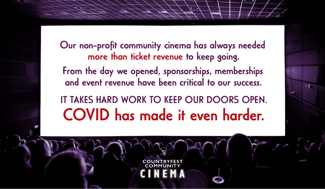Our non-profit community cinema has always needed more than ticket revenue to keep going. From the day we opened, sponsorships, memberships and event revenue have been critical to our success. IT TAKES HARD WORK TO KEEP OUR DOORS OPEN.

COVID has made it even harder.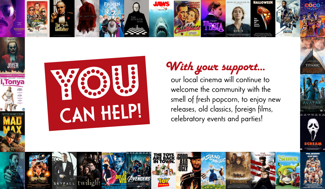



**I, Tonya** 

#### With your support...

our local cinema will continue to welcome the community with the smell of fresh popcorn, to enjoy new releases, old classics, foreign films, celebratory events and parties!



**TITANIO** 

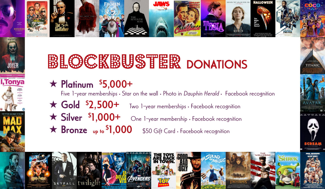

## **BLOCKBUSTER DONATIONS**

 $\star$  Platinum  $$5,000+$ 

**I, Tonya** 

Five 1-year memberships • Star on the wall • Photo in Dauphin Herald • Facebook recognition

- $\star$  Gold  $$2,500+$ Two 1-year memberships · Facebook recognition
- $\star$  Silver \$1,000+ One 1-year membership · Facebook recognition
- $\star$  Bronze up to \$1,000 \$50 Gift Card · Facebook recognition



**TITANIO** 

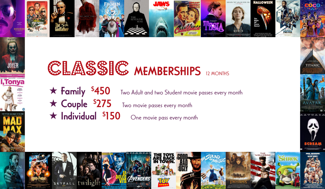

#### CLASSIC MEMBERSHIPS 12 MONTHS

I, Tonya

 $\star$  Family \$450 Two Adult and two Student movie passes every month  $\star$  Couple \$275 Two movie passes every month  $\star$  Individual \$150 One movie pass every month



**TITANIC** 

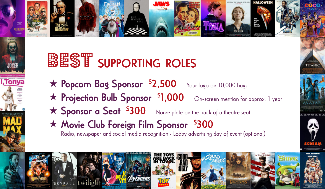

# BEST SUPPORTING ROLES

**I.Tonya** 

- $\star$  Popcorn Bag Sponsor  $$2,500$ Your logo on 10,000 bags
- $\star$  Projection Bulb Sponsor  $$1,000$ On-screen mention for approx. 1 year

**TITANK** 

- \* Sponsor a Seat \$300 Name plate on the back of a theatre seat
- \* Movie Club Foreign Film Sponsor \$300

Radio, newspaper and social media recognition • Lobby advertising day of event (optional)

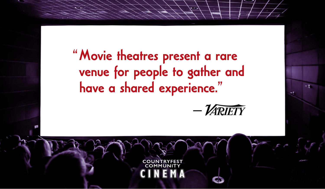"Movie theatres present a rare venue for people to gather and have a shared experience."

--